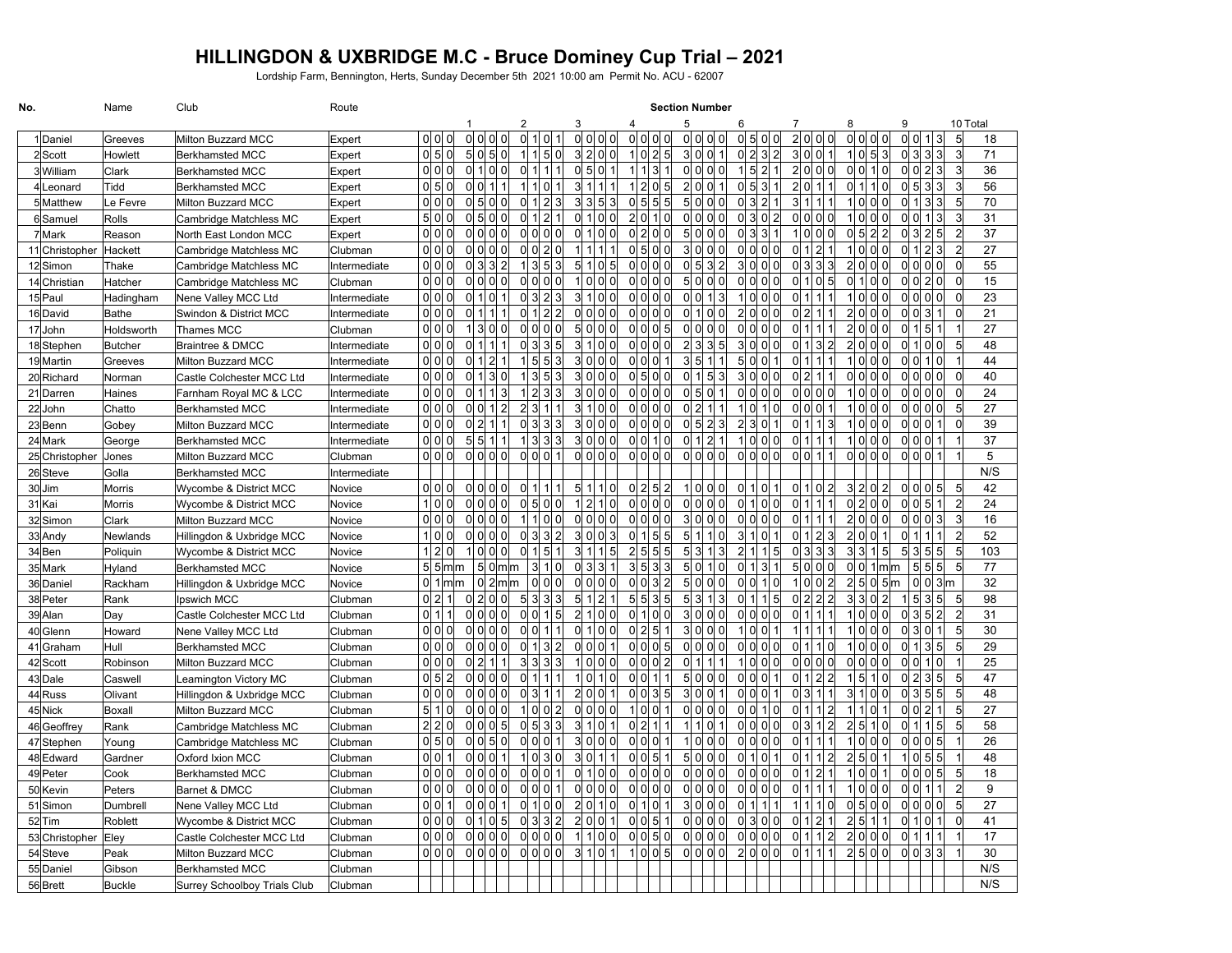## **HILLINGDON & UXBRIDGE M.C - Bruce Dominey Cup Trial – 2021**

Lordship Farm, Bennington, Herts, Sunday December 5th 2021 10:00 am Permit No. ACU - 62007

| No.            | Name           | Club                                | Route        |       | <b>Section Number</b> |  |                 |                    |                |                         |                 |                |   |                   |                |                                                 |                             |         |                |                            |              |                       |                |   |                 |                 |                                    |                |          |
|----------------|----------------|-------------------------------------|--------------|-------|-----------------------|--|-----------------|--------------------|----------------|-------------------------|-----------------|----------------|---|-------------------|----------------|-------------------------------------------------|-----------------------------|---------|----------------|----------------------------|--------------|-----------------------|----------------|---|-----------------|-----------------|------------------------------------|----------------|----------|
|                |                |                                     |              |       |                       |  |                 |                    |                | 2                       |                 |                | 3 |                   | Δ              |                                                 | 5                           |         | 6              |                            |              |                       |                | 8 |                 | 9               |                                    |                | 10 Total |
| 1Daniel        | Greeves        | Milton Buzzard MCC                  | Expert       |       | 이 이 이                 |  | 0 0             | 0                  | $\Omega$       | <sub>0</sub>            | 1 0             |                |   | 0 0 0 0           |                | ol ol ol ol                                     | 0 0 0 0                     |         | 0 5            | <sup>0</sup>               | $\Omega$     | 2 <sup>1</sup><br>0l  | 0l<br>$\Omega$ |   | 0 0 0 0         | 0 0             | 1 3                                | 5              | 18       |
| $2$ Scott      | Howlett        | <b>Berkhamsted MCC</b>              | Expert       |       | 이 키 이                 |  |                 | 5 0 5 0            |                | 1 1 5 0                 |                 |                |   | 3 2 0 0           |                | 1 0 2 5                                         | 3 0 0 1                     |         |                | 0 2 3 2                    |              | 3 <sup>1</sup>        | 0 0 1          |   | 1 0 5 3         |                 | $ 0 $ 3 3 3                        | 3              | 71       |
| 3William       | Clark          | <b>Berkhamsted MCC</b>              | Expert       |       | ol ol ol              |  |                 | 0 1 0 0            |                | <sub>0</sub>            | 1 1 1           |                |   | 0 5 0 1           |                | 1 1 3 1                                         | 0 0 0 0                     |         |                | 1 5 2 1                    |              | 2 <sup>1</sup>        | 0 0 0          |   | 0 0 1 0         |                 | 0 0 2 3                            | 3              | 36       |
| 4Leonard       | Tidd           | Berkhamsted MCC                     | Expert       |       | ol 5 lol              |  | 0 0 1           |                    | $\mathbf{1}$   | 1110                    |                 | $\overline{1}$ |   | 3 1 1 1           |                | 1 2 0 5                                         | 2 0 0 1                     |         | 0 <sub>5</sub> | 3 <sup>l</sup>             | $\mathbf{1}$ | 2 <sup>1</sup>        | 0111           |   | 0 1 1 0         |                 | 3 3 <br>0 5                        | 3              | 56       |
| 5Matthew       | Le Fevre       | Milton Buzzard MCC                  | Expert       |       | ol ol ol              |  |                 | 0 5 0 0            |                | 0  1  2  3              |                 |                |   | 3 3 5 3           |                | 0 5 5 5                                         | 5 0 0 0                     |         |                | 0 3 2 1                    |              | $\overline{3}$        | 1111           |   | 1 0 0 0         |                 | 0 1 3 3                            | 5              | 70       |
| 6Samuel        | Rolls          | Cambridge Matchless MC              | Expert       |       | 5 0 0                 |  |                 | 0 5 0 0            |                | 0 1 2                   |                 | $\mathbf{1}$   |   | ol 1l ol 0l       |                | 2 0 1 0                                         | 0 0 0 0                     |         |                | 0 3 0 2                    |              | $\overline{0}$        | $ol$ $ol$ $o$  |   | 1 0 0 0         |                 | 0 0 <br>1 3                        | 3              | 31       |
| 7 Mark         | Reason         | North East London MCC               | Expert       |       | $ol$ $ol$ $ol$        |  |                 | 0 0 0 0            |                | ol ol ol ol             |                 |                |   | 0 1 0 0           |                | $ol 2$ $ol 0$                                   | 5 0 0 0                     |         | $\mathsf{O}$   | 31<br>31                   | -1           | $\mathbf 1$           | ol ol o        |   | $ 0 $ 5 $ 2 $ 2 |                 | 0 3 2 5                            | $\overline{2}$ | 37       |
| 11 Christopher | Hackett        | Cambridge Matchless MC              | Clubman      |       | ol ol ol              |  |                 | 0 0 0 0            |                | $ol$ $ol$ $2l$ $ol$     |                 |                |   | 1111111           |                | $ol$ 5 $ol$ $ol$                                | 3 0 0 0                     |         |                | ol ol ol ol                |              | $\overline{0}$        | 1 2 1          |   | 1 0 0 0         |                 | 0 1 2 3                            | $\overline{2}$ | 27       |
| 12Simon        | Thake          | Cambridge Matchless MC              | Intermediate |       | 0 0 0                 |  | 0 3 3           |                    | $\mathfrak{p}$ | 1 3 5 3                 |                 |                |   | 5 1 0 5           |                | 0 0 0 0                                         | $0 \vert 5 \vert 3 \vert 2$ |         | 3 0            | OL OI                      |              | $\Omega$              | 3 3 3          |   | 2 0 0 0         |                 | 0 0 0 0                            | $\mathbf 0$    | 55       |
| 14 Christian   | Hatcher        | Cambridge Matchless MC              | Clubman      |       | 0 0 0                 |  |                 | 0 0 0 0            |                | $\Omega$ ol $\Omega$ ol |                 |                |   | 1 0 0 0           |                | 0 0 0 0                                         | 5000                        |         | 0 0            | OI OI                      |              | 0                     | 1 0 5          |   | 0 1 0 0         |                 | 0 0 2 0                            | $\overline{0}$ | 15       |
| 15 Paul        | Hadingham      | Nene Valley MCC Ltd                 | Intermediate |       | ol ol ol              |  | 0 1             | 0                  | 1              | 0 3 2 3                 |                 |                |   | 3 1 0 0           |                | 0 0 0 0                                         | 0 0 1 3                     |         | 1 0            | OI OI                      |              | <sup>0</sup>          | 1111           |   | 1 0 0 0         |                 | 0 0 0 0                            | $\mathbf 0$    | 23       |
| 16David        | <b>Bathe</b>   | Swindon & District MCC              | Intermediate |       | 0 0 0                 |  | 0 1             | 111                |                | 0 1 2 2                 |                 |                |   | $ 0 $ $ 0 $ $ 0 $ |                | $\log$ of of of                                 | 0 1 0 0                     |         |                | 2 0 0 0                    |              | $\overline{0}$        | 2 1 1          |   | 2 0 0 0         |                 | 0 0 3 1                            | $\overline{0}$ | 21       |
| 17John         | Holdsworth     | Thames MCC                          | Clubman      |       | $ol$ $ol$ $ol$        |  |                 | 1131010            |                | 이 이 이 이                 |                 |                |   | 5 0 0 0           |                | $\frac{1}{2}$ ol $\frac{1}{2}$ ol $\frac{1}{2}$ | 0 0 0 0                     |         |                | $\Omega$ ol $\Omega$ ol    |              | <sup>0</sup>          | 1 1 1          |   | 2 0 0 0         |                 | 0 1 5 1                            | $\mathbf{1}$   | 27       |
| 18 Stephen     | <b>Butcher</b> | <b>Braintree &amp; DMCC</b>         | Intermediate |       | $ol$ $ol$ $ol$        |  | 0 <sup>1</sup>  |                    | $\overline{1}$ | 0 3 3 5                 |                 |                |   | 3 1 0 0           |                | ol ol ol o                                      | $2\sqrt{2}$                 | 3 3 5   | 3 0            | ol ol                      |              | <sup>0</sup>          | 1 3 2          |   | 2 0 0 0         |                 | $ol$ 1 $ol$ $ol$                   | 5              | 48       |
| 19Martin       | Greeves        | Milton Buzzard MCC                  | Intermediate |       | $ol$ $ol$ $ol$        |  | 0   1           | $\overline{2}$     |                | $1 \, 5 \, 5 \, 3$      |                 |                |   | 3 0 0 0           |                | $ol$ $ol$ $ol$ $1$                              | 3 5 1 1                     |         | 5 0            | 0 <sup>1</sup>             |              | $\overline{0}$        | 1111           |   | $1$ ol ol ol    |                 | ol ol<br>1 0                       | $\mathbf{1}$   | 44       |
| 20 Richard     | Norman         | Castle Colchester MCC Ltd           | Intermediate |       | ol ol ol              |  | 0 <sup> 1</sup> | 3 0                |                | 1 3 5 3                 |                 |                |   | 3 0 0 0           |                | 0 5 0 0                                         | 0 1 5 3                     |         |                | 3 0 0 0                    |              | $\overline{0}$        | 2 1 1          |   | ol ol ol ol     |                 | ol ol ol ol                        | $\overline{0}$ | 40       |
| 21 Darren      | Haines         | Farnham Royal MC & LCC              | Intermediate |       | ol ol ol              |  | 0 <sup>1</sup>  |                    | 3              | 1 2 3 3                 |                 |                |   | 3 0 0 0           |                | ol ol ol o                                      | 0 5 0 1                     |         |                | ol ol ol ol                |              | ol ol ol o            |                |   | 1 0 0 0         |                 | ol ol ol ol                        | $\mathbf 0$    | 24       |
| 22John         | Chatto         | <b>Berkhamsted MCC</b>              | Intermediate |       | ol ol ol              |  | OL OI           | $1\vert 2$         |                | 2 3 1 1                 |                 |                |   | 3 1 0 0           |                | ol ol ol o                                      | 0 2 1 1                     |         | 1 0            | 1 I O                      |              | ol ol ol 1            |                |   | 1 0 0 0         |                 | ol ol ol ol                        | 5              | 27       |
| 23Benn         | Gobey          | <b>Milton Buzzard MCC</b>           | Intermediate |       | ol ol ol              |  | 0 2             |                    | $\mathbf{1}$   | 0 3 3                   |                 | 3              |   | 3 0 0 0           |                | 0 0 0 0                                         | $\frac{0}{5}$ 2 3           |         | 2 3            | 0l                         |              | $\Omega$              | 1113           |   | 1000            |                 | ol ol<br> 0                        | $\Omega$       | 39       |
| 24 Mark        | George         | <b>Berkhamsted MCC</b>              | Intermediate |       | ol ol ol              |  |                 | 5 5 1 1            |                | 1 3 3                   |                 | $\overline{3}$ |   | 3 0 0 0           |                | 0 0 1 0                                         | 0 1 2 1                     |         |                | 1 0 0 0                    |              | $\Omega$              | 1111           |   | 1 0 0 0         |                 | 0 0 0                              | $\overline{1}$ | 37       |
| 25 Christopher | Jones          | Milton Buzzard MCC                  | Clubman      |       | ol ol ol              |  |                 | ol ol ol ol        |                | ol ol ol                |                 | $\overline{1}$ |   | ol ol ol ol       |                | ol ol ol ol                                     | ol ol ol ol                 |         |                | ol ol ol ol                |              | 0                     | 0111           |   | 0 0 0 0         |                 | $ol$ $ol$ $ol$ $1$                 | $\mathbf{1}$   | 5        |
| 26 Steve       | Golla          | <b>Berkhamsted MCC</b>              | Intermediate |       |                       |  |                 |                    |                |                         |                 |                |   |                   |                |                                                 |                             |         |                |                            |              |                       |                |   |                 |                 |                                    |                | N/S      |
| 30Jim          | Morris         | Wycombe & District MCC              | Novice       |       | $ol$ $ol$ $ol$        |  |                 | 0 0 0 0            |                | 0l                      | 111             |                |   | 5 1 1 0           |                | 0 2 5 2                                         | 1 0 0 0                     |         | 0l             | $\mathbf{1}$<br>0          |              | $\overline{0}$<br>1 0 |                |   | 3 2 0 2         |                 | $ol$ $ol$ $ol$ $sl$                | 5              | 42       |
| 31 Kai         | Morris         | Wycombe & District MCC              | Novice       |       | 1000                  |  |                 | ol ol ol ol        |                | $ol$ 5 $ol$ $ol$        |                 |                |   | 1 2 1 0           |                | 0 0 0 0                                         | 0 0 0 0                     |         | <sub>0</sub>   | 1<br>ol o                  |              | <sub>0</sub>          | 1111           |   | 0 2 0 0         |                 | ol ol<br>$5$   1                   | $\overline{2}$ | 24       |
| 32Simon        | Clark          | Milton Buzzard MCC                  | Novice       |       | 0 0 0                 |  | 0 0 0           |                    | $\Omega$       | 1 1 0 0                 |                 |                |   | ol ol ol ol       |                | ol ol ol o                                      | 3 0 0 0                     |         | $\Omega$       | 0 0 0                      |              | $\Omega$              | 1111           |   | 2 ol ol ol      |                 | $ol$ $ol$ $ol$ $3$                 | 3              | 16       |
| 33 Andy        | Newlands       | Hillingdon & Uxbridge MCC           | Novice       |       | 1000                  |  |                 | ol ol ol ol        |                | 0 3 3                   |                 | $\overline{2}$ |   | 3 0 0 3           |                | 0 1 5 5                                         | 5 <sup>1</sup>              | 1110    | 3 <sup>1</sup> | $\mathbf{1}$<br>$\Omega$   |              | <sub>0</sub>          | 1 2 3          |   | 2 0 0 1         | 0 <sup> 1</sup> | 111                                | $\overline{2}$ | 52       |
| 34Ben          | Poliquin       | Wycombe & District MCC              | Novice       |       | 1 2 0                 |  | 0 0             | ١o                 |                | <sub>0</sub>            | $1\vert 5\vert$ | $\overline{1}$ |   | 3 1 1 5           |                | 2 5 5 5                                         | $5 \vert$                   | 3 1 3   | $\overline{2}$ | 115<br>11                  |              | $\overline{0}$        | 3 3 3          |   | 3 3 1 5         |                 | 5 3 <br>5 5                        | 5              | 103      |
| 35 Mark        | <b>Hyland</b>  | Berkhamsted MCC                     | Novice       |       | 5 5mm                 |  |                 | 5 0 m m            |                |                         | 3 1 0           |                |   | 0 3 3 1           |                | 3 5 3 3                                         | 5 0 1 0                     |         | $\Omega$       | 3 1<br>11                  |              | 5 <sup>1</sup>        | $ol$ $ol$ $o$  |   | $ol$ 0 $1$ m    |                 | 5 <sup>1</sup><br>5 5              | 5              | 77       |
| 36 Daniel      | Rackham        | Hillingdon & Uxbridge MCC           | Novice       |       | $011$ m               |  |                 | $0l$ 2 $l$ m $l$ m |                |                         | ol ol ol        |                |   | ol ol ol ol       |                | 0 0 3 2                                         | $5 \vert$                   | ol ol o | 0l             | 01<br>1 I N                |              | $\mathbf 1$           | $ol$ $ol$ 2    |   | 2 5 0 5 m       |                 | <sub>0</sub><br>ol <sub>3</sub>    |                | 32       |
| 38 Peter       | Rank           | Ipswich MCC                         | Clubman      |       | 0 2 1                 |  |                 | 이 2 이 이            |                | 5                       | 3 3             | 3              |   | 5 1 2 1           |                | 5 5 3 5                                         | 5                           | 3 1 3   | 0              | $1\vert 5$<br>1            |              | 0                     | 2 2 2          |   | 3 3 0 2         | -1              | 5 <br>3 5                          | -5             | 98       |
| 39 Alan        | Day            | Castle Colchester MCC Ltd           | Clubman      |       | 0 1 1                 |  | 0 0 0           |                    | $\Omega$       | 0 0 1 5                 |                 |                |   | 2 1 0 0           |                | 0 1 0 0                                         | 3 0 0 0                     |         |                | 0 0 0 0                    |              | $\Omega$              | 1111           |   | 1 0 0 0         | 0 3             | 5 2                                | $\overline{2}$ | 31       |
| 40Glenn        | Howard         | Nene Valley MCC Ltd                 | Clubman      |       | 0 0 0                 |  |                 | 0 0 0 0            |                | 0 0 1 1                 |                 |                |   | 이 1 이 이           |                | 0 2 5 1                                         | 3 0 0 0                     |         | 1 0            | 0                          |              | $\mathbf{1}$          | 1111           |   | 1 0 0 0         |                 | 0 3 0 1                            | 5              | 30       |
| 41 Graham      | Hull           | <b>Berkhamsted MCC</b>              | Clubman      |       | $ol$ $ol$ $ol$        |  | 0 0 0           |                    | $\Omega$       | $\Omega$                | 1 3             | $\overline{2}$ |   | $ol$ ol ol 1      |                | 0 0 0 5                                         | 0 0 0 0                     |         |                | 0 0 0 0                    |              | $\overline{0}$        | 1110           |   | 1 0 0 0         |                 | 3 5 <br>0 <sup> 1</sup>            | 5              | 29       |
| 42 Scott       | Robinson       | Milton Buzzard MCC                  | Clubman      |       | ol ol ol              |  | 0 2             | 1                  | $\mathbf{1}$   | 31                      | 3 3             | 3              |   | 1 0 0 0           |                | 0 0 0 2                                         | 0 1 1 1                     |         |                | 1   0   0   0              |              | 0                     | 0 0 0          |   | 0 0 0 0         |                 | 0 0 <br>1 0                        | $\overline{1}$ | 25       |
| 43Dale         | Caswell        | Leamington Victory MC               | Clubman      | 0 5   | $\overline{2}$        |  | 0 0 0           |                    | $\Omega$       | <sub>0</sub>            | 111             | $\overline{1}$ |   | 1 0 1 0           |                | 0 0 1 1                                         | 5 0 0 0                     |         | 0              | $\Omega$<br>$\overline{0}$ |              | $\Omega$<br>1         | $2$ 2          |   | 1 5 1 0         |                 | 0 2 <br>3 5                        | 5              | 47       |
| 44Russ         | Olivant        | Hillingdon & Uxbridge MCC           | Clubman      |       | 이이어                   |  | 0 0 0           |                    | $\mathbf 0$    | <sub>0</sub>            | 3 1             | $\mathbf{1}$   |   | 2 0 0 1           |                | $\frac{1}{2}$ of 3 $\frac{1}{2}$                | 3 0 0 1                     |         |                | 0 0 0 1                    |              | <sup>0</sup>          | 3 1 1          |   | 3 1 0 0         | 0 3             | 5 5                                | 5              | 48       |
| 45 Nick        | Boxall         | <b>Milton Buzzard MCC</b>           | Clubman      | 5 1   | $\Omega$              |  | ol ol ol        |                    | $\Omega$       | 10012                   |                 |                |   | ol ol ol o        |                | 1 0 0 1                                         | 0 0 0 0                     |         | 0              | 0<br>1 $\overline{0}$      |              | $\Omega$              | 1112           |   | 111011          |                 | 2 1<br>ol ol                       | 5              | 27       |
| 46 Geoffrey    | Rank           | Cambridge Matchless MC              | Clubman      |       | 2 2 0                 |  |                 | 0 0 0 5            |                | <sub>0</sub>            | 5 3             | $\overline{3}$ |   | 3 1 0 1           |                | 0 2 1 1                                         | 111011                      |         |                | ol ol ol ol                |              | <sup>0</sup>          | 3 1 2          |   | 2 5 1 0         |                 | 0 <sup> 1</sup><br>$1\vert 5\vert$ | 5              | 58       |
| 47 Stephen     | Young          | Cambridge Matchless MC              | Clubman      |       | 0 5 0                 |  |                 | 0 0 5 0            |                | ol ol ol                |                 | $\overline{1}$ |   | 3 ol ol ol        |                | 0 0 0 1                                         | 1   0   0   0               |         | 0              | ol ol o                    |              | $\Omega$<br>11        | 111            |   | 10000           |                 | $ol$ $ol$ $ol$ $sl$                | $\mathbf 1$    | 26       |
| 48 Edward      | Gardner        | Oxford Ixion MCC                    | Clubman      | ol ol | 1                     |  | 0 0 0           |                    | $\overline{1}$ | 1   0   3               |                 | <sup>0</sup>   |   | 3 0 1 1           |                | 0 0 5 1                                         | 5 0 0 0                     |         | $\overline{0}$ | 1<br><sup>0</sup>          |              | $\Omega$              | 112            |   | 2 5 0 1         |                 | 1 0 <br>5 5                        | $\overline{1}$ | 48       |
| 49 Peter       | Cook           | <b>Berkhamsted MCC</b>              | Clubman      |       | 0 0 0                 |  | ol ol ol        |                    | $\Omega$       | 0 0 0 0                 |                 |                |   | 0 1 0 0           |                | 0 0 0 0                                         | 0 0 0 0                     |         | 0              | 0 0 0                      |              | $\Omega$<br>1 2       |                |   | 1 0 0 1         |                 | 이이이 5                              | 5              | 18       |
| 50 Kevin       | Peters         | Barnet & DMCC                       | Clubman      |       | 0 0 0                 |  |                 | ol ol ol ol        |                | ol ol ol                |                 | $\overline{1}$ |   | 0 0 0 0           |                | 0 0 0 0                                         | 0 0 0 0                     |         | 0              | 0 0 0                      |              | $\overline{0}$        | 1111           |   | 1 0 0 0         |                 | 0 0 <br>111                        | $\overline{2}$ | 9        |
| 51Simon        | Dumbrell       | Nene Valley MCC Ltd                 | Clubman      | 0 0   | 1                     |  | ol ol ol        |                    | 1              | ΩI                      | 1   0   0       |                |   | 2 0 1 0           | $\overline{0}$ | 1 0 1                                           | 3 0 0 0                     |         | $\overline{0}$ | 1                          |              | $\mathbf 1$           | 1110           |   | 이 키 이 이         |                 | $\alpha$ o $\alpha$ o $\alpha$     | 5              | 27       |
| 52Tim          | Roblett        | Wycombe & District MCC              | Clubman      |       | 0 0 0                 |  | 0 1 0           |                    | 5 <sup>1</sup> | 0 3 3 2                 |                 |                |   | 2 0 0 1           |                | 0 0 5 1                                         | 0 0 0 0                     |         | 0              | 3 0 0                      |              | 0                     | 1 2 1          |   | 2 5 1 1         | 0 1             | 0 1                                | $\overline{0}$ | 41       |
| 53 Christopher | Eley           | Castle Colchester MCC Ltd           | Clubman      |       | $ol$ $ol$ $ol$        |  | 0 0 0           |                    | $\mathbf 0$    | ol ol ol ol             |                 |                |   | 11100             |                | 0 0 5 0                                         | 0 0 0 0                     |         | $\mathsf{O}$   | ol ol ol                   |              | $\overline{0}$        | 1112           |   | 2 0 0 0         | $\mathsf{O}$    | 111<br>$\overline{1}$              | $\mathbf{1}$   | 17       |
| 54 Steve       | Peak           | <b>Milton Buzzard MCC</b>           | Clubman      |       | ol ol ol              |  |                 | ol ol ol ol        |                | ol ol ol ol             |                 |                |   | 3 1 0 1           |                | 1 0 0 5                                         | ol ol ol ol                 |         |                | 2 0 0 0                    |              | $\overline{0}$<br>11  | 111            |   | 2 5 0 0         |                 | 0 0 3 3                            |                | 30       |
| 55 Daniel      | Gibson         | <b>Berkhamsted MCC</b>              | Clubman      |       |                       |  |                 |                    |                |                         |                 |                |   |                   |                |                                                 |                             |         |                |                            |              |                       |                |   |                 |                 |                                    |                | N/S      |
| 56Brett        | Buckle         | <b>Surrey Schoolboy Trials Club</b> | Clubman      |       |                       |  |                 |                    |                |                         |                 |                |   |                   |                |                                                 |                             |         |                |                            |              |                       |                |   |                 |                 |                                    |                | N/S      |